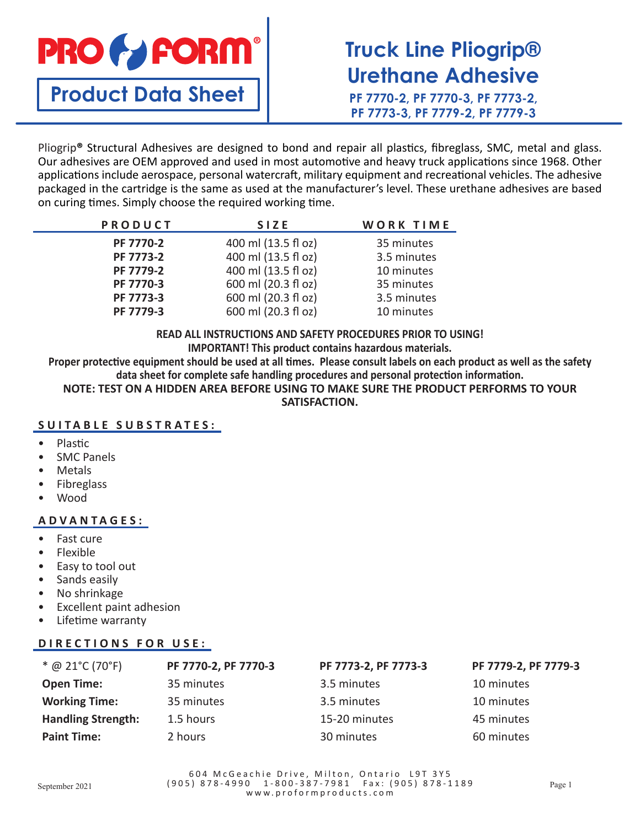

# **Truck Line Pliogrip® Urethane Adhesive**

**PF 7770-2, PF 7770-3, PF 7773-2, PF 7773-3, PF 7779-2, PF 7779-3**

Pliogrip**®** Structural Adhesives are designed to bond and repair all plastics, fibreglass, SMC, metal and glass. Our adhesives are OEM approved and used in most automotive and heavy truck applications since 1968. Other applications include aerospace, personal watercraft, military equipment and recreational vehicles. The adhesive packaged in the cartridge is the same as used at the manufacturer's level. These urethane adhesives are based on curing times. Simply choose the required working time.

| PRODUCT   | <b>SIZE</b>         | WORK TIME   |
|-----------|---------------------|-------------|
| PF 7770-2 | 400 ml (13.5 fl oz) | 35 minutes  |
| PF 7773-2 | 400 ml (13.5 fl oz) | 3.5 minutes |
| PF 7779-2 | 400 ml (13.5 fl oz) | 10 minutes  |
| PF 7770-3 | 600 ml (20.3 fl oz) | 35 minutes  |
| PF 7773-3 | 600 ml (20.3 fl oz) | 3.5 minutes |
| PF 7779-3 | 600 ml (20.3 fl oz) | 10 minutes  |

**READ ALL INSTRUCTIONS AND SAFETY PROCEDURES PRIOR TO USING! IMPORTANT! This product contains hazardous materials.**

**Proper protective equipment should be used at all times. Please consult labels on each product as well as the safety data sheet for complete safe handling procedures and personal protection information.**

**NOTE: TEST ON A HIDDEN AREA BEFORE USING TO MAKE SURE THE PRODUCT PERFORMS TO YOUR SATISFACTION.**

#### **SUITABLE SUBSTRATES:**

- Plastic
- **SMC Panels**
- Metals
- **Fibreglass**
- Wood

#### **ADVANTAGES:**

- Fast cure
- Flexible
- Easy to tool out
- Sands easily
- No shrinkage
- Excellent paint adhesion
- Lifetime warranty

#### **DIRECTIONS FOR USE:**

| $*$ @ 21°C (70°F)         | PF 7770-2, PF 7770-3 | PF 7773-2, PF 7773-3 | PF 7779-2, PF 7779-3 |
|---------------------------|----------------------|----------------------|----------------------|
| <b>Open Time:</b>         | 35 minutes           | 3.5 minutes          | 10 minutes           |
| <b>Working Time:</b>      | 35 minutes           | 3.5 minutes          | 10 minutes           |
| <b>Handling Strength:</b> | 1.5 hours            | 15-20 minutes        | 45 minutes           |
| <b>Paint Time:</b>        | 2 hours              | 30 minutes           | 60 minutes           |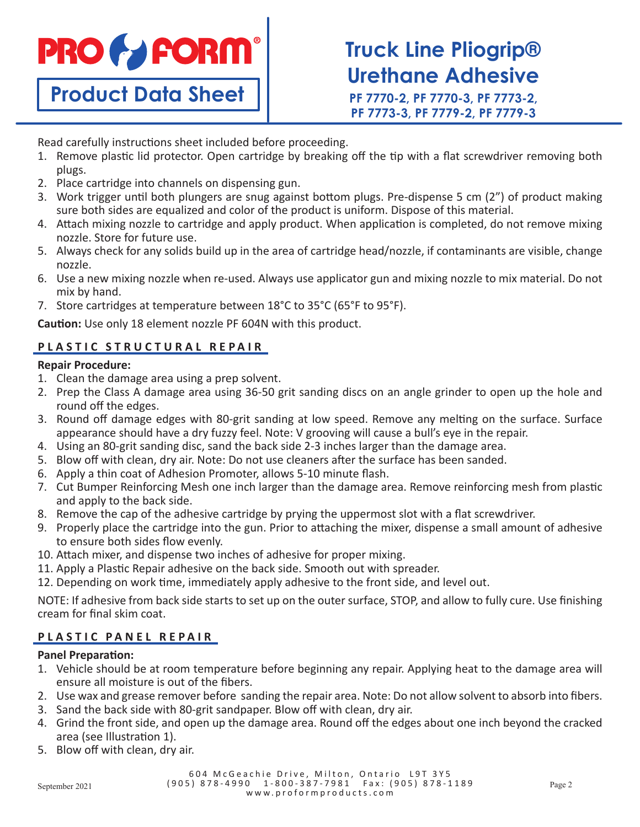

**Truck Line Pliogrip® Urethane Adhesive**

**PF 7770-2, PF 7770-3, PF 7773-2, PF 7773-3, PF 7779-2, PF 7779-3**

Read carefully instructions sheet included before proceeding.

- 1. Remove plastic lid protector. Open cartridge by breaking off the tip with a flat screwdriver removing both plugs.
- 2. Place cartridge into channels on dispensing gun.
- 3. Work trigger until both plungers are snug against bottom plugs. Pre-dispense 5 cm (2") of product making sure both sides are equalized and color of the product is uniform. Dispose of this material.
- 4. Attach mixing nozzle to cartridge and apply product. When application is completed, do not remove mixing nozzle. Store for future use.
- 5. Always check for any solids build up in the area of cartridge head/nozzle, if contaminants are visible, change nozzle.
- 6. Use a new mixing nozzle when re-used. Always use applicator gun and mixing nozzle to mix material. Do not mix by hand.
- 7. Store cartridges at temperature between 18°C to 35°C (65°F to 95°F).

**Caution:** Use only 18 element nozzle PF 604N with this product.

#### **PLASTIC STRUCTURAL REPAIR**

#### **Repair Procedure:**

- 1. Clean the damage area using a prep solvent.
- 2. Prep the Class A damage area using 36-50 grit sanding discs on an angle grinder to open up the hole and round off the edges.
- 3. Round off damage edges with 80-grit sanding at low speed. Remove any melting on the surface. Surface appearance should have a dry fuzzy feel. Note: V grooving will cause a bull's eye in the repair.
- 4. Using an 80-grit sanding disc, sand the back side 2-3 inches larger than the damage area.
- 5. Blow off with clean, dry air. Note: Do not use cleaners after the surface has been sanded.
- 6. Apply a thin coat of Adhesion Promoter, allows 5-10 minute flash.
- 7. Cut Bumper Reinforcing Mesh one inch larger than the damage area. Remove reinforcing mesh from plastic and apply to the back side.
- 8. Remove the cap of the adhesive cartridge by prying the uppermost slot with a flat screwdriver.
- 9. Properly place the cartridge into the gun. Prior to attaching the mixer, dispense a small amount of adhesive to ensure both sides flow evenly.
- 10. Attach mixer, and dispense two inches of adhesive for proper mixing.
- 11. Apply a Plastic Repair adhesive on the back side. Smooth out with spreader.
- 12. Depending on work time, immediately apply adhesive to the front side, and level out.

NOTE: If adhesive from back side starts to set up on the outer surface, STOP, and allow to fully cure. Use finishing cream for final skim coat.

#### **PLASTIC PANEL REPAIR**

#### **Panel Preparation:**

- 1. Vehicle should be at room temperature before beginning any repair. Applying heat to the damage area will ensure all moisture is out of the fibers.
- 2. Use wax and grease remover before sanding the repair area. Note: Do not allow solvent to absorb into fibers.
- 3. Sand the back side with 80-grit sandpaper. Blow off with clean, dry air.
- 4. Grind the front side, and open up the damage area. Round off the edges about one inch beyond the cracked area (see Illustration 1).
- 5. Blow off with clean, dry air.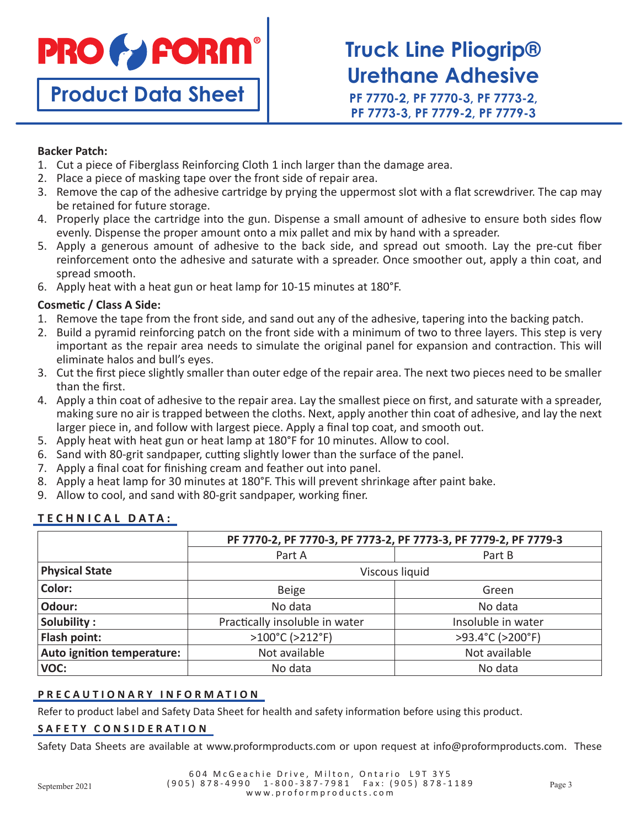

## **Truck Line Pliogrip® Urethane Adhesive**

**PF 7770-2, PF 7770-3, PF 7773-2, PF 7773-3, PF 7779-2, PF 7779-3**

#### **Backer Patch:**

- 1. Cut a piece of Fiberglass Reinforcing Cloth 1 inch larger than the damage area.
- 2. Place a piece of masking tape over the front side of repair area.
- 3. Remove the cap of the adhesive cartridge by prying the uppermost slot with a flat screwdriver. The cap may be retained for future storage.
- 4. Properly place the cartridge into the gun. Dispense a small amount of adhesive to ensure both sides flow evenly. Dispense the proper amount onto a mix pallet and mix by hand with a spreader.
- 5. Apply a generous amount of adhesive to the back side, and spread out smooth. Lay the pre-cut fiber reinforcement onto the adhesive and saturate with a spreader. Once smoother out, apply a thin coat, and spread smooth.
- 6. Apply heat with a heat gun or heat lamp for 10-15 minutes at 180°F.

#### **Cosmetic / Class A Side:**

- 1. Remove the tape from the front side, and sand out any of the adhesive, tapering into the backing patch.
- 2. Build a pyramid reinforcing patch on the front side with a minimum of two to three layers. This step is very important as the repair area needs to simulate the original panel for expansion and contraction. This will eliminate halos and bull's eyes.
- 3. Cut the first piece slightly smaller than outer edge of the repair area. The next two pieces need to be smaller than the first.
- 4. Apply a thin coat of adhesive to the repair area. Lay the smallest piece on first, and saturate with a spreader, making sure no air is trapped between the cloths. Next, apply another thin coat of adhesive, and lay the next larger piece in, and follow with largest piece. Apply a final top coat, and smooth out.
- 5. Apply heat with heat gun or heat lamp at 180°F for 10 minutes. Allow to cool.
- 6. Sand with 80-grit sandpaper, cutting slightly lower than the surface of the panel.
- 7. Apply a final coat for finishing cream and feather out into panel.
- 8. Apply a heat lamp for 30 minutes at 180°F. This will prevent shrinkage after paint bake.
- 9. Allow to cool, and sand with 80-grit sandpaper, working finer.

#### **TECHNICAL DATA:**

|                            | PF 7770-2, PF 7770-3, PF 7773-2, PF 7773-3, PF 7779-2, PF 7779-3 |                    |  |
|----------------------------|------------------------------------------------------------------|--------------------|--|
|                            | Part A                                                           | Part B             |  |
| <b>Physical State</b>      | Viscous liquid                                                   |                    |  |
| Color:                     | <b>Beige</b>                                                     | Green              |  |
| Odour:                     | No data                                                          | No data            |  |
| Solubility:                | Practically insoluble in water                                   | Insoluble in water |  |
| Flash point:               | >100°C (>212°F)                                                  | >93.4°C (>200°F)   |  |
| Auto ignition temperature: | Not available                                                    | Not available      |  |
| VOC:                       | No data                                                          | No data            |  |

#### **PRECAUTIONARY INFORMATION**

Refer to product label and Safety Data Sheet for health and safety information before using this product.

#### **SAFETY CONSIDERATION**

Safety Data Sheets are available at www.proformproducts.com or upon request at info@proformproducts.com. These